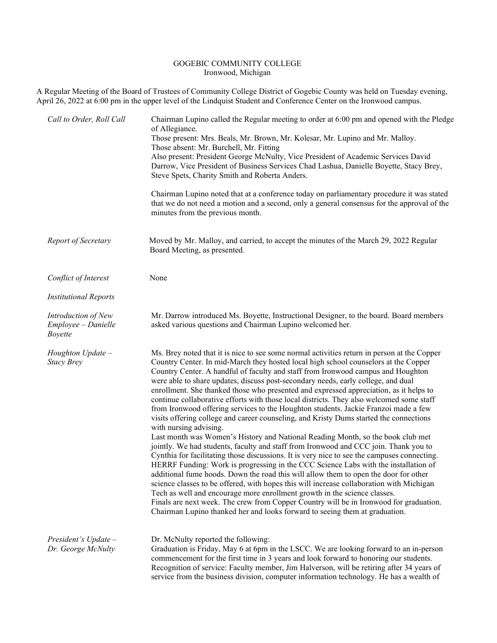## GOGEBIC COMMUNITY COLLEGE Ironwood, Michigan

A Regular Meeting of the Board of Trustees of Community College District of Gogebic County was held on Tuesday evening, April 26, 2022 at 6:00 pm in the upper level of the Lindquist Student and Conference Center on the Ironwood campus.

| Call to Order, Roll Call                                     | Chairman Lupino called the Regular meeting to order at 6:00 pm and opened with the Pledge<br>of Allegiance.<br>Those present: Mrs. Beals, Mr. Brown, Mr. Kolesar, Mr. Lupino and Mr. Malloy.<br>Those absent: Mr. Burchell, Mr. Fitting<br>Also present: President George McNulty, Vice President of Academic Services David<br>Darrow, Vice President of Business Services Chad Lashua, Danielle Boyette, Stacy Brey,<br>Steve Spets, Charity Smith and Roberta Anders.                                                                                                                                                                                                                                                                                                                                                                                                                                                                                                                                                                                                                                                                                                                                                                                                                                                                                                                                                                                                                                                                                                |
|--------------------------------------------------------------|-------------------------------------------------------------------------------------------------------------------------------------------------------------------------------------------------------------------------------------------------------------------------------------------------------------------------------------------------------------------------------------------------------------------------------------------------------------------------------------------------------------------------------------------------------------------------------------------------------------------------------------------------------------------------------------------------------------------------------------------------------------------------------------------------------------------------------------------------------------------------------------------------------------------------------------------------------------------------------------------------------------------------------------------------------------------------------------------------------------------------------------------------------------------------------------------------------------------------------------------------------------------------------------------------------------------------------------------------------------------------------------------------------------------------------------------------------------------------------------------------------------------------------------------------------------------------|
|                                                              | Chairman Lupino noted that at a conference today on parliamentary procedure it was stated<br>that we do not need a motion and a second, only a general consensus for the approval of the<br>minutes from the previous month.                                                                                                                                                                                                                                                                                                                                                                                                                                                                                                                                                                                                                                                                                                                                                                                                                                                                                                                                                                                                                                                                                                                                                                                                                                                                                                                                            |
| Report of Secretary                                          | Moved by Mr. Malloy, and carried, to accept the minutes of the March 29, 2022 Regular<br>Board Meeting, as presented.                                                                                                                                                                                                                                                                                                                                                                                                                                                                                                                                                                                                                                                                                                                                                                                                                                                                                                                                                                                                                                                                                                                                                                                                                                                                                                                                                                                                                                                   |
| Conflict of Interest                                         | None                                                                                                                                                                                                                                                                                                                                                                                                                                                                                                                                                                                                                                                                                                                                                                                                                                                                                                                                                                                                                                                                                                                                                                                                                                                                                                                                                                                                                                                                                                                                                                    |
| <b>Institutional Reports</b>                                 |                                                                                                                                                                                                                                                                                                                                                                                                                                                                                                                                                                                                                                                                                                                                                                                                                                                                                                                                                                                                                                                                                                                                                                                                                                                                                                                                                                                                                                                                                                                                                                         |
| Introduction of New<br>Employee - Danielle<br><b>Boyette</b> | Mr. Darrow introduced Ms. Boyette, Instructional Designer, to the board. Board members<br>asked various questions and Chairman Lupino welcomed her.                                                                                                                                                                                                                                                                                                                                                                                                                                                                                                                                                                                                                                                                                                                                                                                                                                                                                                                                                                                                                                                                                                                                                                                                                                                                                                                                                                                                                     |
| Houghton Update -<br><b>Stacy Brey</b>                       | Ms. Brey noted that it is nice to see some normal activities return in person at the Copper<br>Country Center. In mid-March they hosted local high school counselors at the Copper<br>Country Center. A handful of faculty and staff from Ironwood campus and Houghton<br>were able to share updates, discuss post-secondary needs, early college, and dual<br>enrollment. She thanked those who presented and expressed appreciation, as it helps to<br>continue collaborative efforts with those local districts. They also welcomed some staff<br>from Ironwood offering services to the Houghton students. Jackie Franzoi made a few<br>visits offering college and career counseling, and Kristy Dums started the connections<br>with nursing advising.<br>Last month was Women's History and National Reading Month, so the book club met<br>jointly. We had students, faculty and staff from Ironwood and CCC join. Thank you to<br>Cynthia for facilitating those discussions. It is very nice to see the campuses connecting.<br>HERRF Funding: Work is progressing in the CCC Science Labs with the installation of<br>additional fume hoods. Down the road this will allow them to open the door for other<br>science classes to be offered, with hopes this will increase collaboration with Michigan<br>Tech as well and encourage more enrollment growth in the science classes.<br>Finals are next week. The crew from Copper Country will be in Ironwood for graduation.<br>Chairman Lupino thanked her and looks forward to seeing them at graduation. |
| President's $Update -$<br>Dr. George McNulty                 | Dr. McNulty reported the following:<br>Graduation is Friday, May 6 at 6pm in the LSCC. We are looking forward to an in-person<br>commencement for the first time in 3 years and look forward to honoring our students.<br>Recognition of service: Faculty member, Jim Halverson, will be retiring after 34 years of<br>service from the business division, computer information technology. He has a wealth of                                                                                                                                                                                                                                                                                                                                                                                                                                                                                                                                                                                                                                                                                                                                                                                                                                                                                                                                                                                                                                                                                                                                                          |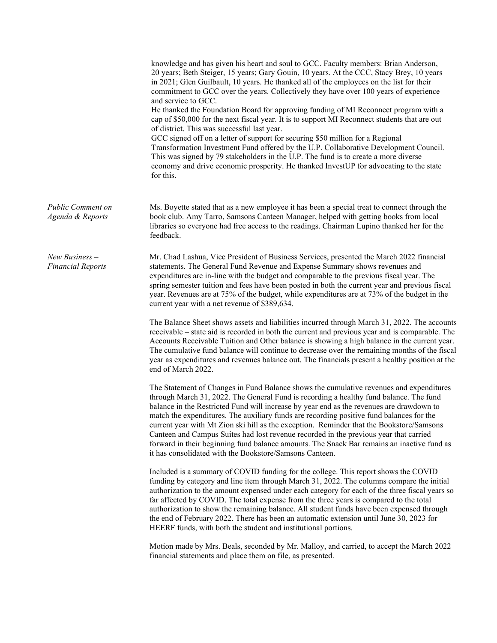|                                              | knowledge and has given his heart and soul to GCC. Faculty members: Brian Anderson,<br>20 years; Beth Steiger, 15 years; Gary Gouin, 10 years. At the CCC, Stacy Brey, 10 years<br>in 2021; Glen Guilbault, 10 years. He thanked all of the employees on the list for their<br>commitment to GCC over the years. Collectively they have over 100 years of experience<br>and service to GCC.<br>He thanked the Foundation Board for approving funding of MI Reconnect program with a<br>cap of \$50,000 for the next fiscal year. It is to support MI Reconnect students that are out<br>of district. This was successful last year.<br>GCC signed off on a letter of support for securing \$50 million for a Regional<br>Transformation Investment Fund offered by the U.P. Collaborative Development Council.<br>This was signed by 79 stakeholders in the U.P. The fund is to create a more diverse<br>economy and drive economic prosperity. He thanked InvestUP for advocating to the state<br>for this. |
|----------------------------------------------|--------------------------------------------------------------------------------------------------------------------------------------------------------------------------------------------------------------------------------------------------------------------------------------------------------------------------------------------------------------------------------------------------------------------------------------------------------------------------------------------------------------------------------------------------------------------------------------------------------------------------------------------------------------------------------------------------------------------------------------------------------------------------------------------------------------------------------------------------------------------------------------------------------------------------------------------------------------------------------------------------------------|
| <b>Public Comment on</b><br>Agenda & Reports | Ms. Boyette stated that as a new employee it has been a special treat to connect through the<br>book club. Amy Tarro, Samsons Canteen Manager, helped with getting books from local<br>libraries so everyone had free access to the readings. Chairman Lupino thanked her for the<br>feedback.                                                                                                                                                                                                                                                                                                                                                                                                                                                                                                                                                                                                                                                                                                               |
| $New Business -$<br><b>Financial Reports</b> | Mr. Chad Lashua, Vice President of Business Services, presented the March 2022 financial<br>statements. The General Fund Revenue and Expense Summary shows revenues and<br>expenditures are in-line with the budget and comparable to the previous fiscal year. The<br>spring semester tuition and fees have been posted in both the current year and previous fiscal<br>year. Revenues are at 75% of the budget, while expenditures are at 73% of the budget in the<br>current year with a net revenue of \$389,634.                                                                                                                                                                                                                                                                                                                                                                                                                                                                                        |
|                                              | The Balance Sheet shows assets and liabilities incurred through March 31, 2022. The accounts<br>receivable – state aid is recorded in both the current and previous year and is comparable. The<br>Accounts Receivable Tuition and Other balance is showing a high balance in the current year.<br>The cumulative fund balance will continue to decrease over the remaining months of the fiscal<br>year as expenditures and revenues balance out. The financials present a healthy position at the<br>end of March 2022.                                                                                                                                                                                                                                                                                                                                                                                                                                                                                    |
|                                              | The Statement of Changes in Fund Balance shows the cumulative revenues and expenditures<br>through March 31, 2022. The General Fund is recording a healthy fund balance. The fund<br>balance in the Restricted Fund will increase by year end as the revenues are drawdown to<br>match the expenditures. The auxiliary funds are recording positive fund balances for the<br>current year with Mt Zion ski hill as the exception. Reminder that the Bookstore/Samsons<br>Canteen and Campus Suites had lost revenue recorded in the previous year that carried<br>forward in their beginning fund balance amounts. The Snack Bar remains an inactive fund as<br>it has consolidated with the Bookstore/Samsons Canteen.                                                                                                                                                                                                                                                                                      |
|                                              | Included is a summary of COVID funding for the college. This report shows the COVID<br>funding by category and line item through March 31, 2022. The columns compare the initial<br>authorization to the amount expensed under each category for each of the three fiscal years so<br>far affected by COVID. The total expense from the three years is compared to the total<br>authorization to show the remaining balance. All student funds have been expensed through<br>the end of February 2022. There has been an automatic extension until June 30, 2023 for<br>HEERF funds, with both the student and institutional portions.                                                                                                                                                                                                                                                                                                                                                                       |
|                                              |                                                                                                                                                                                                                                                                                                                                                                                                                                                                                                                                                                                                                                                                                                                                                                                                                                                                                                                                                                                                              |

Motion made by Mrs. Beals, seconded by Mr. Malloy, and carried, to accept the March 2022 financial statements and place them on file, as presented.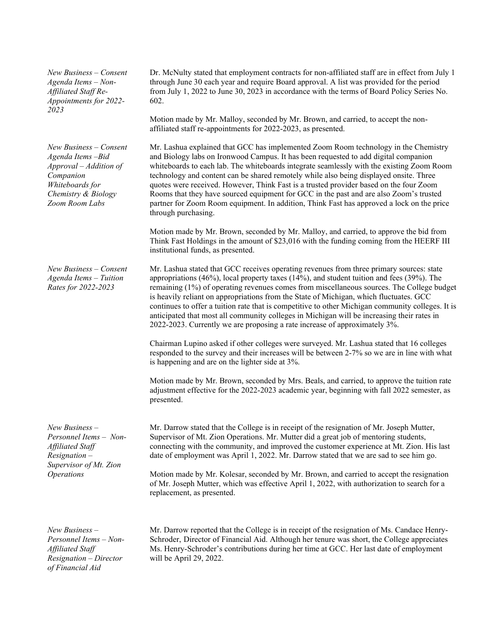*New Business – Consent Agenda Items – Non-Affiliated Staff Re-Appointments for 2022- 2023*

*New Business – Consent Agenda Items –Bid Approval – Addition of Companion Whiteboards for Chemistry & Biology Zoom Room Labs*

*New Business – Consent Agenda Items – Tuition Rates for 2022-2023*

*New Business – Personnel Items – Non-Affiliated Staff Resignation – Supervisor of Mt. Zion Operations*

Dr. McNulty stated that employment contracts for non-affiliated staff are in effect from July 1 through June 30 each year and require Board approval. A list was provided for the period from July 1, 2022 to June 30, 2023 in accordance with the terms of Board Policy Series No. 602.

Motion made by Mr. Malloy, seconded by Mr. Brown, and carried, to accept the nonaffiliated staff re-appointments for 2022-2023, as presented.

Mr. Lashua explained that GCC has implemented Zoom Room technology in the Chemistry and Biology labs on Ironwood Campus. It has been requested to add digital companion whiteboards to each lab. The whiteboards integrate seamlessly with the existing Zoom Room technology and content can be shared remotely while also being displayed onsite. Three quotes were received. However, Think Fast is a trusted provider based on the four Zoom Rooms that they have sourced equipment for GCC in the past and are also Zoom's trusted partner for Zoom Room equipment. In addition, Think Fast has approved a lock on the price through purchasing.

Motion made by Mr. Brown, seconded by Mr. Malloy, and carried, to approve the bid from Think Fast Holdings in the amount of \$23,016 with the funding coming from the HEERF III institutional funds, as presented.

Mr. Lashua stated that GCC receives operating revenues from three primary sources: state appropriations (46%), local property taxes (14%), and student tuition and fees (39%). The remaining (1%) of operating revenues comes from miscellaneous sources. The College budget is heavily reliant on appropriations from the State of Michigan, which fluctuates. GCC continues to offer a tuition rate that is competitive to other Michigan community colleges. It is anticipated that most all community colleges in Michigan will be increasing their rates in 2022-2023. Currently we are proposing a rate increase of approximately 3%.

Chairman Lupino asked if other colleges were surveyed. Mr. Lashua stated that 16 colleges responded to the survey and their increases will be between 2-7% so we are in line with what is happening and are on the lighter side at 3%.

Motion made by Mr. Brown, seconded by Mrs. Beals, and carried, to approve the tuition rate adjustment effective for the 2022-2023 academic year, beginning with fall 2022 semester, as presented.

Mr. Darrow stated that the College is in receipt of the resignation of Mr. Joseph Mutter, Supervisor of Mt. Zion Operations. Mr. Mutter did a great job of mentoring students, connecting with the community, and improved the customer experience at Mt. Zion. His last date of employment was April 1, 2022. Mr. Darrow stated that we are sad to see him go.

Motion made by Mr. Kolesar, seconded by Mr. Brown, and carried to accept the resignation of Mr. Joseph Mutter, which was effective April 1, 2022, with authorization to search for a replacement, as presented.

*New Business – Personnel Items – Non-Affiliated Staff Resignation – Director of Financial Aid*

Mr. Darrow reported that the College is in receipt of the resignation of Ms. Candace Henry-Schroder, Director of Financial Aid. Although her tenure was short, the College appreciates Ms. Henry-Schroder's contributions during her time at GCC. Her last date of employment will be April 29, 2022.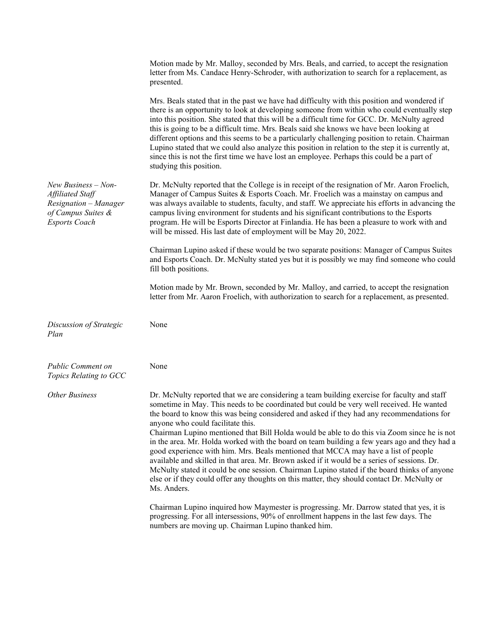|                                                                                                                | Motion made by Mr. Malloy, seconded by Mrs. Beals, and carried, to accept the resignation<br>letter from Ms. Candace Henry-Schroder, with authorization to search for a replacement, as<br>presented.                                                                                                                                                                                                                                                                                                                                                                                                                                                                                                                                                                                                                                                                                                                        |
|----------------------------------------------------------------------------------------------------------------|------------------------------------------------------------------------------------------------------------------------------------------------------------------------------------------------------------------------------------------------------------------------------------------------------------------------------------------------------------------------------------------------------------------------------------------------------------------------------------------------------------------------------------------------------------------------------------------------------------------------------------------------------------------------------------------------------------------------------------------------------------------------------------------------------------------------------------------------------------------------------------------------------------------------------|
|                                                                                                                | Mrs. Beals stated that in the past we have had difficulty with this position and wondered if<br>there is an opportunity to look at developing someone from within who could eventually step<br>into this position. She stated that this will be a difficult time for GCC. Dr. McNulty agreed<br>this is going to be a difficult time. Mrs. Beals said she knows we have been looking at<br>different options and this seems to be a particularly challenging position to retain. Chairman<br>Lupino stated that we could also analyze this position in relation to the step it is currently at,<br>since this is not the first time we have lost an employee. Perhaps this could be a part of<br>studying this position.                                                                                                                                                                                                     |
| New Business - Non-<br>Affiliated Staff<br>Resignation - Manager<br>of Campus Suites &<br><b>Esports Coach</b> | Dr. McNulty reported that the College is in receipt of the resignation of Mr. Aaron Froelich,<br>Manager of Campus Suites & Esports Coach. Mr. Froelich was a mainstay on campus and<br>was always available to students, faculty, and staff. We appreciate his efforts in advancing the<br>campus living environment for students and his significant contributions to the Esports<br>program. He will be Esports Director at Finlandia. He has been a pleasure to work with and<br>will be missed. His last date of employment will be May 20, 2022.                                                                                                                                                                                                                                                                                                                                                                       |
|                                                                                                                | Chairman Lupino asked if these would be two separate positions: Manager of Campus Suites<br>and Esports Coach. Dr. McNulty stated yes but it is possibly we may find someone who could<br>fill both positions.                                                                                                                                                                                                                                                                                                                                                                                                                                                                                                                                                                                                                                                                                                               |
|                                                                                                                | Motion made by Mr. Brown, seconded by Mr. Malloy, and carried, to accept the resignation<br>letter from Mr. Aaron Froelich, with authorization to search for a replacement, as presented.                                                                                                                                                                                                                                                                                                                                                                                                                                                                                                                                                                                                                                                                                                                                    |
| Discussion of Strategic<br>Plan                                                                                | None                                                                                                                                                                                                                                                                                                                                                                                                                                                                                                                                                                                                                                                                                                                                                                                                                                                                                                                         |
| <b>Public Comment on</b><br>Topics Relating to GCC                                                             | None                                                                                                                                                                                                                                                                                                                                                                                                                                                                                                                                                                                                                                                                                                                                                                                                                                                                                                                         |
| <b>Other Business</b>                                                                                          | Dr. McNulty reported that we are considering a team building exercise for faculty and staff<br>sometime in May. This needs to be coordinated but could be very well received. He wanted<br>the board to know this was being considered and asked if they had any recommendations for<br>anyone who could facilitate this.<br>Chairman Lupino mentioned that Bill Holda would be able to do this via Zoom since he is not<br>in the area. Mr. Holda worked with the board on team building a few years ago and they had a<br>good experience with him. Mrs. Beals mentioned that MCCA may have a list of people<br>available and skilled in that area. Mr. Brown asked if it would be a series of sessions. Dr.<br>McNulty stated it could be one session. Chairman Lupino stated if the board thinks of anyone<br>else or if they could offer any thoughts on this matter, they should contact Dr. McNulty or<br>Ms. Anders. |
|                                                                                                                | Chairman Lupino inquired how Maymester is progressing. Mr. Darrow stated that yes, it is<br>progressing. For all intersessions, 90% of enrollment happens in the last few days. The<br>numbers are moving up. Chairman Lupino thanked him.                                                                                                                                                                                                                                                                                                                                                                                                                                                                                                                                                                                                                                                                                   |